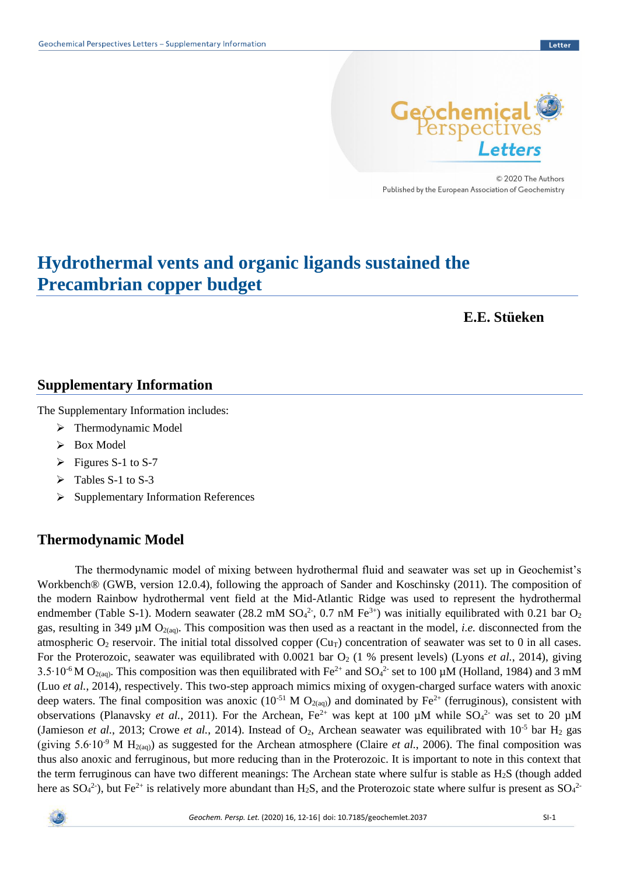

© 2020 The Authors Published by the European Association of Geochemistry

# **Hydrothermal vents and organic ligands sustained the Precambrian copper budget**

**E.E. Stüeken**

### **Supplementary Information**

The Supplementary Information includes:

- ➢ Thermodynamic Model
- ➢ Box Model
- $\triangleright$  Figures S-1 to S-7
- ➢ Tables S-1 to S-3
- ➢ Supplementary Information References

# **Thermodynamic Model**

The thermodynamic model of mixing between hydrothermal fluid and seawater was set up in Geochemist's Workbench® (GWB, version 12.0.4), following the approach of Sander and Koschinsky (2011). The composition of the modern Rainbow hydrothermal vent field at the Mid-Atlantic Ridge was used to represent the hydrothermal endmember (Table S-1). Modern seawater (28.2 mM  $SO_4^2$ , 0.7 nM Fe<sup>3+</sup>) was initially equilibrated with 0.21 bar  $O_2$ gas, resulting in 349  $\mu$ M O<sub>2(aq)</sub>. This composition was then used as a reactant in the model, *i.e.* disconnected from the atmospheric  $O_2$  reservoir. The initial total dissolved copper (Cu<sub>T</sub>) concentration of seawater was set to 0 in all cases. For the Proterozoic, seawater was equilibrated with  $0.0021$  bar  $O_2$  (1 % present levels) (Lyons *et al.*, 2014), giving 3.5 $\cdot$ 10<sup>-6</sup> M O<sub>2(aq)</sub>. This composition was then equilibrated with Fe<sup>2+</sup> and SO<sub>4</sub><sup>2-</sup> set to 100 µM (Holland, 1984) and 3 mM (Luo *et al.*, 2014), respectively. This two-step approach mimics mixing of oxygen-charged surface waters with anoxic deep waters. The final composition was anoxic (10<sup>-51</sup> M O<sub>2(aq)</sub>) and dominated by Fe<sup>2+</sup> (ferruginous), consistent with observations (Planavsky *et al.*, 2011). For the Archean,  $Fe^{2+}$  was kept at 100  $\mu$ M while  $SO_4^2$  was set to 20  $\mu$ M (Jamieson *et al.*, 2013; Crowe *et al.*, 2014). Instead of  $O_2$ , Archean seawater was equilibrated with  $10^{-5}$  bar  $H_2$  gas (giving 5.6 $\cdot$ 10<sup>-9</sup> M H<sub>2(aq)</sub>) as suggested for the Archean atmosphere (Claire *et al.*, 2006). The final composition was thus also anoxic and ferruginous, but more reducing than in the Proterozoic. It is important to note in this context that the term ferruginous can have two different meanings: The Archean state where sulfur is stable as H2S (though added here as  $SO_4^2$ ), but Fe<sup>2+</sup> is relatively more abundant than H<sub>2</sub>S, and the Proterozoic state where sulfur is present as  $SO_4^2$ 

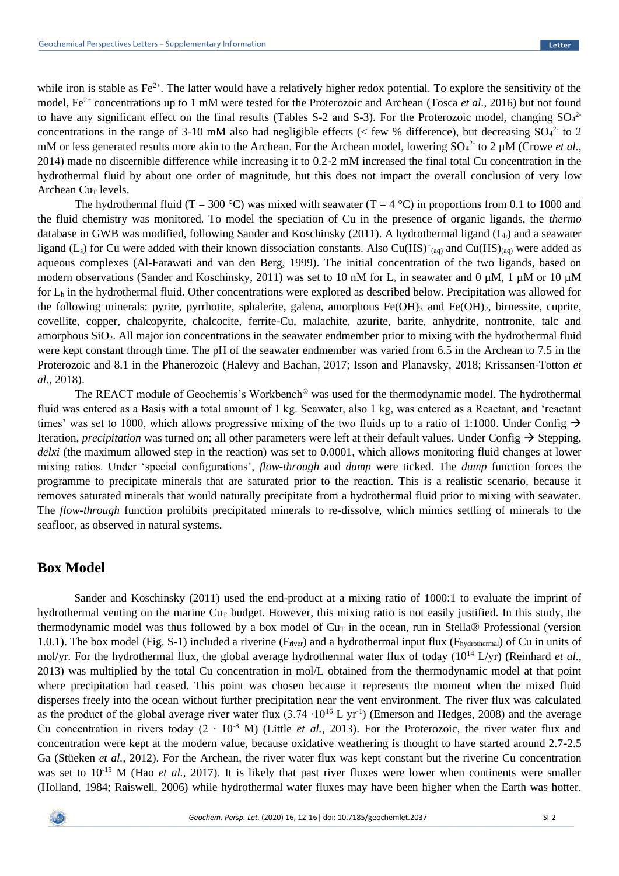while iron is stable as  $Fe^{2+}$ . The latter would have a relatively higher redox potential. To explore the sensitivity of the model, Fe<sup>2+</sup> concentrations up to 1 mM were tested for the Proterozoic and Archean (Tosca *et al.*, 2016) but not found to have any significant effect on the final results (Tables S-2 and S-3). For the Proterozoic model, changing  $SO_4^2$ concentrations in the range of 3-10 mM also had negligible effects (< few % difference), but decreasing  $SO_4^2$  to 2 mM or less generated results more akin to the Archean. For the Archean model, lowering  $SO_4^2$  to  $2 \mu M$  (Crowe *et al.*, 2014) made no discernible difference while increasing it to 0.2-2 mM increased the final total Cu concentration in the hydrothermal fluid by about one order of magnitude, but this does not impact the overall conclusion of very low Archean  $Cur$  levels.

The hydrothermal fluid (T = 300 °C) was mixed with seawater (T = 4 °C) in proportions from 0.1 to 1000 and the fluid chemistry was monitored. To model the speciation of Cu in the presence of organic ligands, the *thermo* database in GWB was modified, following Sander and Koschinsky (2011). A hydrothermal ligand  $(L<sub>h</sub>)$  and a seawater ligand (L<sub>s</sub>) for Cu were added with their known dissociation constants. Also Cu(HS)<sup>+</sup>(aq) and Cu(HS)<sub>(aq)</sub> were added as aqueous complexes (Al-Farawati and van den Berg, 1999). The initial concentration of the two ligands, based on modern observations (Sander and Koschinsky, 2011) was set to 10 nM for L<sub>s</sub> in seawater and 0 µM, 1 µM or 10 µM for  $L<sub>h</sub>$  in the hydrothermal fluid. Other concentrations were explored as described below. Precipitation was allowed for the following minerals: pyrite, pyrrhotite, sphalerite, galena, amorphous  $Fe(OH)$ <sub>3</sub> and  $Fe(OH)$ <sub>2</sub>, birnessite, cuprite, covellite, copper, chalcopyrite, chalcocite, ferrite-Cu, malachite, azurite, barite, anhydrite, nontronite, talc and amorphous SiO2. All major ion concentrations in the seawater endmember prior to mixing with the hydrothermal fluid were kept constant through time. The pH of the seawater endmember was varied from 6.5 in the Archean to 7.5 in the Proterozoic and 8.1 in the Phanerozoic (Halevy and Bachan, 2017; Isson and Planavsky, 2018; Krissansen-Totton *et al.*, 2018).

The REACT module of Geochemis's Workbench® was used for the thermodynamic model. The hydrothermal fluid was entered as a Basis with a total amount of 1 kg. Seawater, also 1 kg, was entered as a Reactant, and 'reactant times' was set to 1000, which allows progressive mixing of the two fluids up to a ratio of 1:1000. Under Config  $\rightarrow$ Iteration, *precipitation* was turned on; all other parameters were left at their default values. Under Config → Stepping, *delxi* (the maximum allowed step in the reaction) was set to 0.0001, which allows monitoring fluid changes at lower mixing ratios. Under 'special configurations', *flow-through* and *dump* were ticked. The *dump* function forces the programme to precipitate minerals that are saturated prior to the reaction. This is a realistic scenario, because it removes saturated minerals that would naturally precipitate from a hydrothermal fluid prior to mixing with seawater. The *flow-through* function prohibits precipitated minerals to re-dissolve, which mimics settling of minerals to the seafloor, as observed in natural systems.

#### **Box Model**

Sander and Koschinsky (2011) used the end-product at a mixing ratio of 1000:1 to evaluate the imprint of hydrothermal venting on the marine  $Cu<sub>T</sub>$  budget. However, this mixing ratio is not easily justified. In this study, the thermodynamic model was thus followed by a box model of  $Cu<sub>T</sub>$  in the ocean, run in Stella® Professional (version 1.0.1). The box model (Fig. S-1) included a riverine ( $F_{\text{river}}$ ) and a hydrothermal input flux ( $F_{\text{hydrothermal}}$ ) of Cu in units of mol/yr. For the hydrothermal flux, the global average hydrothermal water flux of today (10<sup>14</sup> L/yr) (Reinhard *et al.*, 2013) was multiplied by the total Cu concentration in mol/L obtained from the thermodynamic model at that point where precipitation had ceased. This point was chosen because it represents the moment when the mixed fluid disperses freely into the ocean without further precipitation near the vent environment. The river flux was calculated as the product of the global average river water flux  $(3.74 \cdot 10^{16} \text{ L yr}^1)$  (Emerson and Hedges, 2008) and the average Cu concentration in rivers today  $(2 \cdot 10^{-8} \text{ M})$  (Little *et al.*, 2013). For the Proterozoic, the river water flux and concentration were kept at the modern value, because oxidative weathering is thought to have started around 2.7-2.5 Ga (Stüeken *et al.*, 2012). For the Archean, the river water flux was kept constant but the riverine Cu concentration was set to 10<sup>-15</sup> M (Hao *et al.*, 2017). It is likely that past river fluxes were lower when continents were smaller (Holland, 1984; Raiswell, 2006) while hydrothermal water fluxes may have been higher when the Earth was hotter.

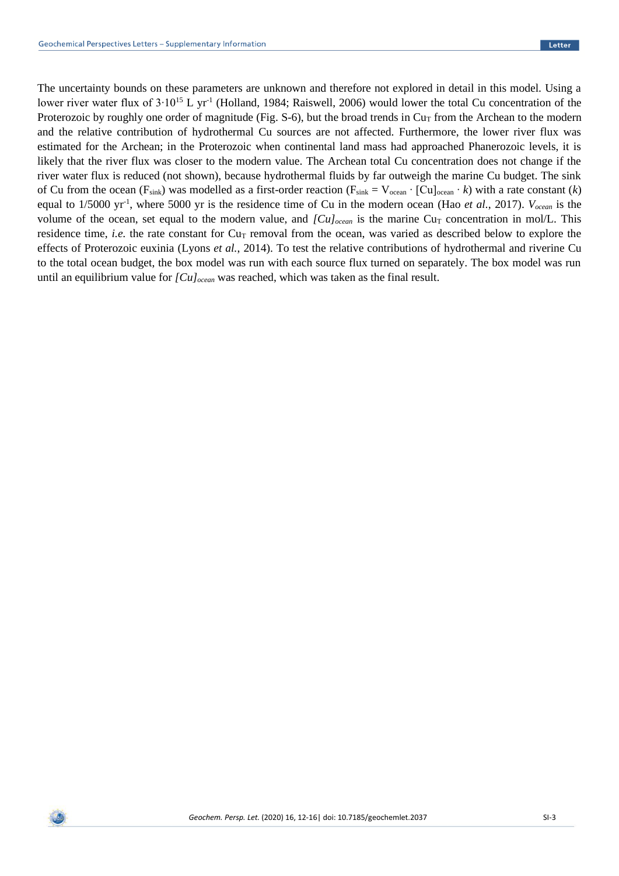The uncertainty bounds on these parameters are unknown and therefore not explored in detail in this model. Using a lower river water flux of  $3.10^{15}$  L yr<sup>-1</sup> (Holland, 1984; Raiswell, 2006) would lower the total Cu concentration of the Proterozoic by roughly one order of magnitude (Fig. S-6), but the broad trends in  $Cu<sub>T</sub>$  from the Archean to the modern and the relative contribution of hydrothermal Cu sources are not affected. Furthermore, the lower river flux was estimated for the Archean; in the Proterozoic when continental land mass had approached Phanerozoic levels, it is likely that the river flux was closer to the modern value. The Archean total Cu concentration does not change if the river water flux is reduced (not shown), because hydrothermal fluids by far outweigh the marine Cu budget. The sink of Cu from the ocean (F<sub>sink</sub>) was modelled as a first-order reaction (F<sub>sink</sub> =  $V_{ocean} \cdot [Cu]_{ocean} \cdot k$ ) with a rate constant (*k*) equal to 1/5000 yr-1 , where 5000 yr is the residence time of Cu in the modern ocean (Hao *et al.*, 2017). *Vocean* is the volume of the ocean, set equal to the modern value, and *[Cu]*<sub>ocean</sub> is the marine Cu<sub>T</sub> concentration in mol/L. This residence time, *i.e.* the rate constant for  $Cu<sub>T</sub>$  removal from the ocean, was varied as described below to explore the effects of Proterozoic euxinia (Lyons *et al.*, 2014). To test the relative contributions of hydrothermal and riverine Cu to the total ocean budget, the box model was run with each source flux turned on separately. The box model was run until an equilibrium value for *[Cu]ocean* was reached, which was taken as the final result.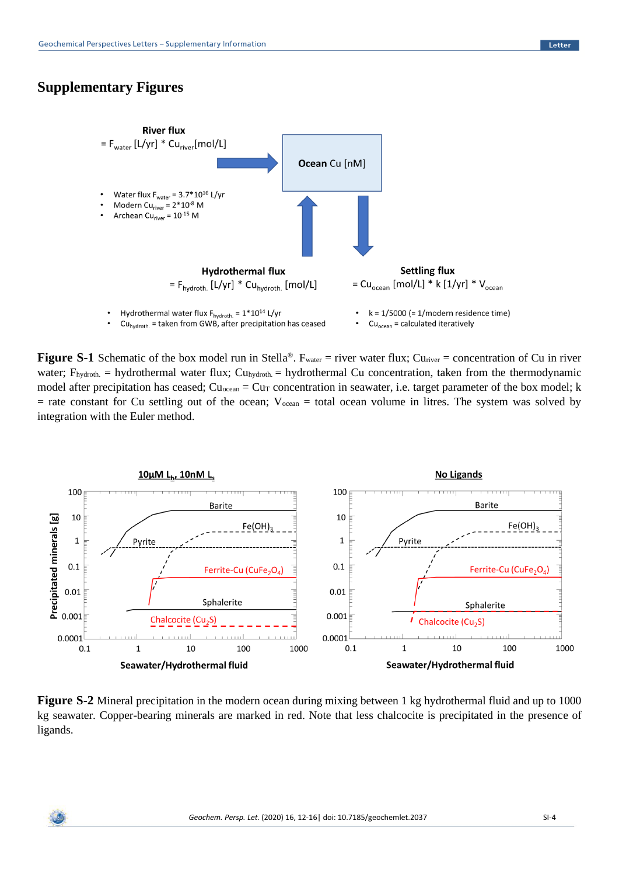# **Supplementary Figures**



**Figure S-1** Schematic of the box model run in Stella<sup>®</sup>. F<sub>water</sub> = river water flux; Cu<sub>river</sub> = concentration of Cu in river water; F<sub>hydroth</sub>. = hydrothermal water flux; Cu<sub>hydroth</sub>. = hydrothermal Cu concentration, taken from the thermodynamic model after precipitation has ceased;  $Cu_{\text{ocean}} = Cu_T$  concentration in seawater, i.e. target parameter of the box model; k  $=$  rate constant for Cu settling out of the ocean;  $V_{ocean} =$  total ocean volume in litres. The system was solved by integration with the Euler method.



**Figure S-2** Mineral precipitation in the modern ocean during mixing between 1 kg hydrothermal fluid and up to 1000 kg seawater. Copper-bearing minerals are marked in red. Note that less chalcocite is precipitated in the presence of ligands.

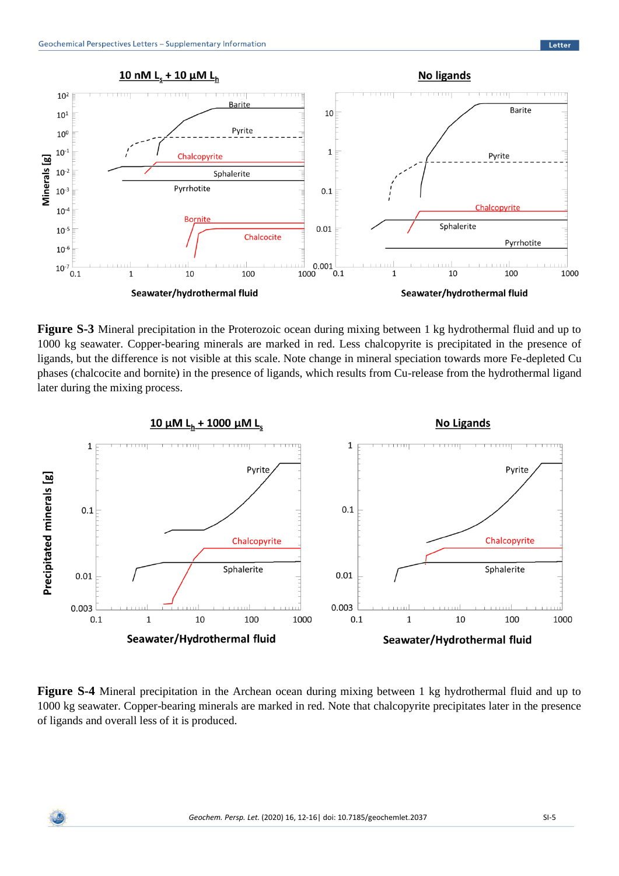

**Figure S-3** Mineral precipitation in the Proterozoic ocean during mixing between 1 kg hydrothermal fluid and up to 1000 kg seawater. Copper-bearing minerals are marked in red. Less chalcopyrite is precipitated in the presence of ligands, but the difference is not visible at this scale. Note change in mineral speciation towards more Fe-depleted Cu phases (chalcocite and bornite) in the presence of ligands, which results from Cu-release from the hydrothermal ligand later during the mixing process.



**Figure S-4** Mineral precipitation in the Archean ocean during mixing between 1 kg hydrothermal fluid and up to 1000 kg seawater. Copper-bearing minerals are marked in red. Note that chalcopyrite precipitates later in the presence of ligands and overall less of it is produced.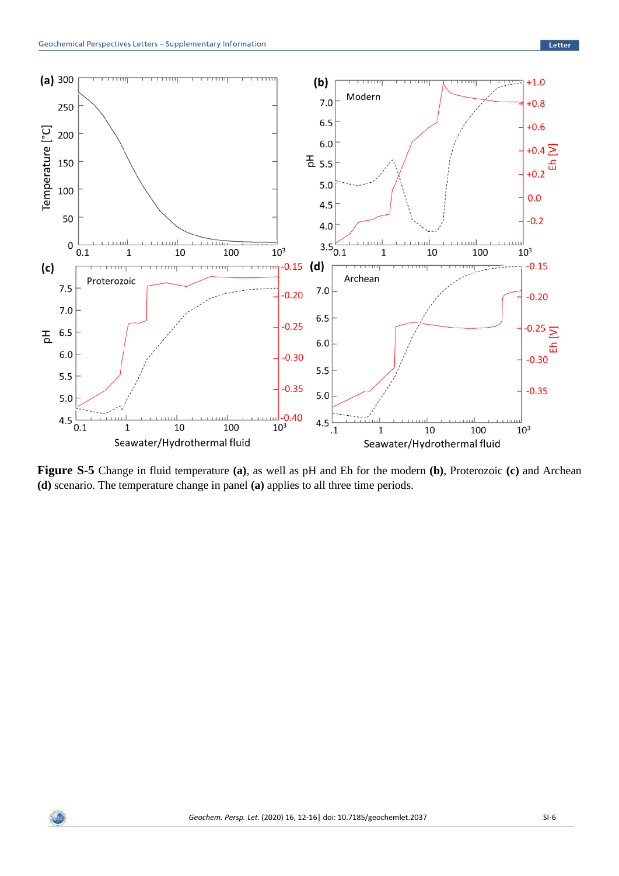

**Figure S-5** Change in fluid temperature **(a)**, as well as pH and Eh for the modern **(b)**, Proterozoic **(c)** and Archean **(d)** scenario. The temperature change in panel **(a)** applies to all three time periods.

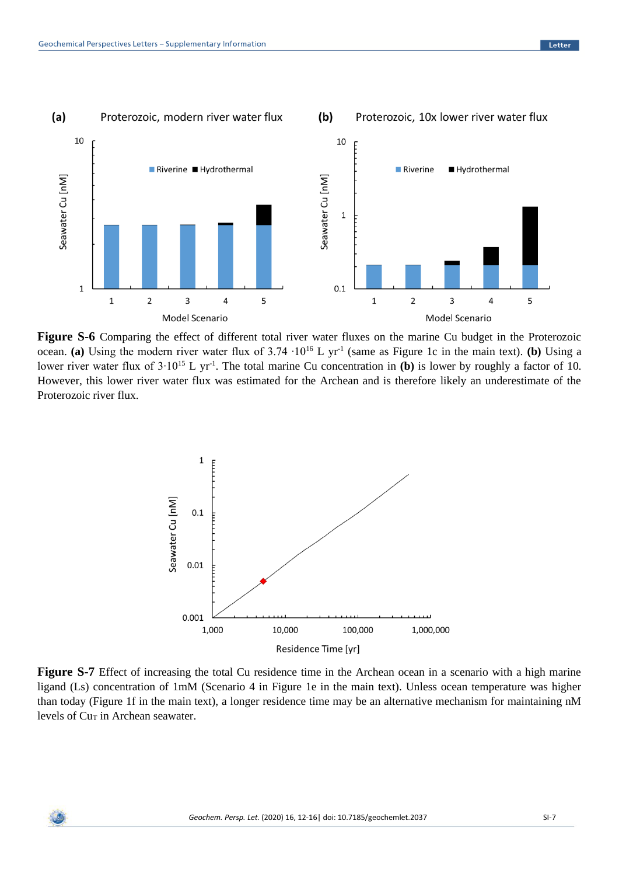

**Figure S-6** Comparing the effect of different total river water fluxes on the marine Cu budget in the Proterozoic ocean. (a) Using the modern river water flux of  $3.74 \cdot 10^{16}$  L yr<sup>-1</sup> (same as Figure 1c in the main text). (b) Using a lower river water flux of  $3.10^{15}$  L yr<sup>-1</sup>. The total marine Cu concentration in (b) is lower by roughly a factor of 10. However, this lower river water flux was estimated for the Archean and is therefore likely an underestimate of the Proterozoic river flux.



**Figure S-7** Effect of increasing the total Cu residence time in the Archean ocean in a scenario with a high marine ligand (Ls) concentration of 1mM (Scenario 4 in Figure 1e in the main text). Unless ocean temperature was higher than today (Figure 1f in the main text), a longer residence time may be an alternative mechanism for maintaining nM levels of Cu<sub>T</sub> in Archean seawater.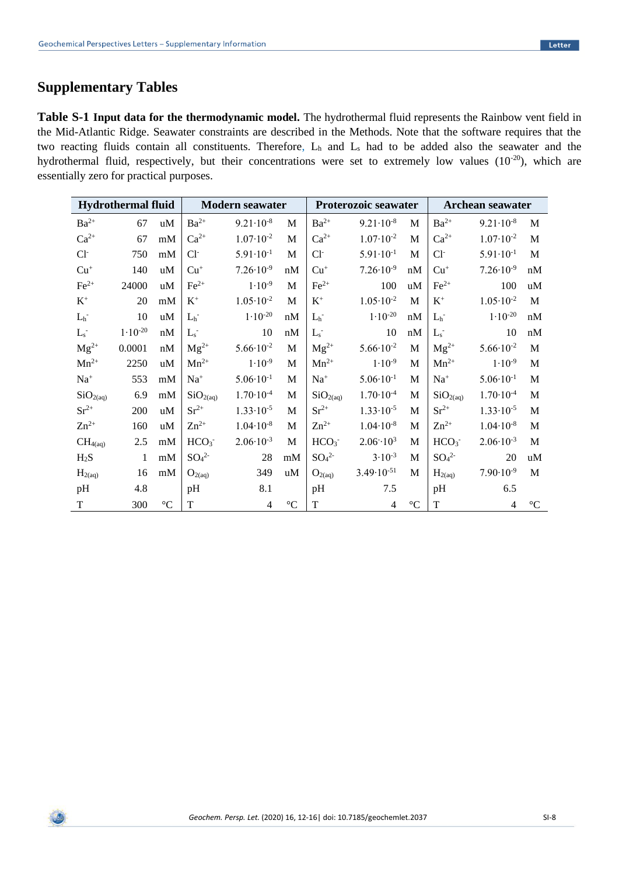# **Supplementary Tables**

**Table S-1 Input data for the thermodynamic model.** The hydrothermal fluid represents the Rainbow vent field in the Mid-Atlantic Ridge. Seawater constraints are described in the Methods. Note that the software requires that the two reacting fluids contain all constituents. Therefore, L<sub>h</sub> and L<sub>s</sub> had to be added also the seawater and the hydrothermal fluid, respectively, but their concentrations were set to extremely low values (10<sup>-20</sup>), which are essentially zero for practical purposes.

| <b>Hydrothermal fluid</b> |              |             | Modern seawater              |                      |             | Proterozoic seawater         |                          |                   | Archean seawater             |                      |                   |
|---------------------------|--------------|-------------|------------------------------|----------------------|-------------|------------------------------|--------------------------|-------------------|------------------------------|----------------------|-------------------|
| $Ba^{2+}$                 | 67           | uM          | $Ba^{2+}$                    | $9.21 \cdot 10^{-8}$ | $\mathbf M$ | $Ba^{2+}$                    | $9.21 \cdot 10^{-8}$     | $\mathbf M$       | $Ba^{2+}$                    | $9.21 \cdot 10^{-8}$ | $\mathbf M$       |
| $Ca^{2+}$                 | 67           | mM          | $Ca^{2+}$                    | $1.07 \cdot 10^{-2}$ | $\mathbf M$ | $Ca^{2+}$                    | $1.07 \cdot 10^{-2}$     | $\mathbf M$       | $Ca^{2+}$                    | $1.07 \cdot 10^{-2}$ | $\mathbf{M}$      |
| $Cl^-$                    | 750          | mM          | $Cl-$                        | $5.91 \cdot 10^{-1}$ | $\mathbf M$ | $Cl^-$                       | $5.91 \cdot 10^{-1}$     | $\mathbf M$       | $Cl-$                        | $5.91 \cdot 10^{-1}$ | M                 |
| $Cu+$                     | 140          | uM          | $Cu+$                        | $7.26 \cdot 10^{-9}$ | nM          | $Cu+$                        | $7.26 \cdot 10^{-9}$     | nM                | $Cu+$                        | $7.26 \cdot 10^{-9}$ | nM                |
| $Fe2+$                    | 24000        | uM          | $\text{Fe}^{2+}$             | $1.10^{-9}$          | M           | $\text{Fe}^{2+}$             | 100                      | uM                | $\text{Fe}^{2+}$             | 100                  | uM                |
| $\mathbf{K}^+$            | 20           | mM          | $\rm K^+$                    | $1.05 \cdot 10^{-2}$ | M           | $\mathbf{K}^+$               | $1.05 \cdot 10^{-2}$     | $\mathbf M$       | $\rm K^+$                    | $1.05 \cdot 10^{-2}$ | M                 |
| $L_{\rm h}$ -             | 10           | uM          | $L_h$ <sup>-</sup>           | $1.10^{-20}$         | nM          | $L_h$ <sup>-</sup>           | $1.10^{-20}$             | nM                | $L_h$                        | $1.10^{-20}$         | $\mathrm{nM}$     |
| $L_{\rm s}$ -             | $1.10^{-20}$ | nM          | $L_s$                        | 10                   | nM          | $L_{\rm s}$                  | 10                       | nM                | $L_s$                        | 10                   | nM                |
| $Mg^{2+}$                 | 0.0001       | nM          | $Mg^{2+}$                    | $5.66 \cdot 10^{-2}$ | M           | $Mg^{2+}$                    | $5.66 \cdot 10^{-2}$     | M                 | $Mg^{2+}$                    | $5.66 \cdot 10^{-2}$ | M                 |
| $Mn^{2+}$                 | 2250         | uM          | $Mn^{2+}$                    | $1.10^{-9}$          | M           | $Mn^{2+}$                    | $1.10^{-9}$              | $\mathbf M$       | $Mn^{2+}$                    | $1.10^{-9}$          | M                 |
| $\mathrm{Na}^+$           | 553          | mM          | $Na+$                        | $5.06 \cdot 10^{-1}$ | M           | $\mathrm{Na}^+$              | $5.06 \cdot 10^{-1}$     | M                 | $\mathrm{Na}^+$              | $5.06 \cdot 10^{-1}$ | M                 |
| SiO <sub>2(aq)</sub>      | 6.9          | mM          | SiO <sub>2(aq)</sub>         | $1.70 \cdot 10^{-4}$ | $\mathbf M$ | SiO <sub>2(aq)</sub>         | $1.70 \cdot 10^{-4}$     | $\mathbf M$       | SiO <sub>2(aq)</sub>         | $1.70 \cdot 10^{-4}$ | M                 |
| $Sr^{2+}$                 | 200          | uM          | $Sr^{2+}$                    | $1.33 \cdot 10^{-5}$ | $\mathbf M$ | $Sr^{2+}$                    | $1.33 \cdot 10^{-5}$     | $\mathbf M$       | $Sr^{2+}$                    | $1.33 \cdot 10^{-5}$ | M                 |
| $Zn^{2+}$                 | 160          | uM          | $Zn^{2+}$                    | $1.04 \cdot 10^{-8}$ | M           | $Zn^{2+}$                    | $1.04 \cdot 10^{-8}$     | M                 | $Zn^{2+}$                    | $1.04 \cdot 10^{-8}$ | M                 |
| CH <sub>4</sub> (aq)      | 2.5          | mM          | HCO <sub>3</sub>             | $2.06 \cdot 10^{-3}$ | M           | HCO <sub>3</sub>             | $2.06 - 10^{3}$          | M                 | HCO <sub>3</sub>             | $2.06 \cdot 10^{-3}$ | M                 |
| $H_2S$                    | $\mathbf{1}$ | mM          | SO <sub>4</sub> <sup>2</sup> | 28                   | mM          | SO <sub>4</sub> <sup>2</sup> | $3.10^{-3}$              | $\mathbf M$       | SO <sub>4</sub> <sup>2</sup> | 20                   | uM                |
| $H_{2(aq)}$               | 16           | mM          | $O_{2(aq)}$                  | 349                  | uM          | $O_{2(aq)}$                  | $3.49 \cdot 10^{-51}$    | $\mathbf M$       | $H_{2(aq)}$                  | $7.90 \cdot 10^{-9}$ | M                 |
| pH                        | 4.8          |             | pH                           | 8.1                  |             | pH                           | 7.5                      |                   | pH                           | 6.5                  |                   |
| $\mathbf T$               | 300          | $^{\circ}C$ | $\mathbf T$                  | $\overline{4}$       | $^{\circ}C$ | T                            | $\overline{\mathcal{A}}$ | $^{\circ}{\rm C}$ | T                            | 4                    | $^{\circ}{\rm C}$ |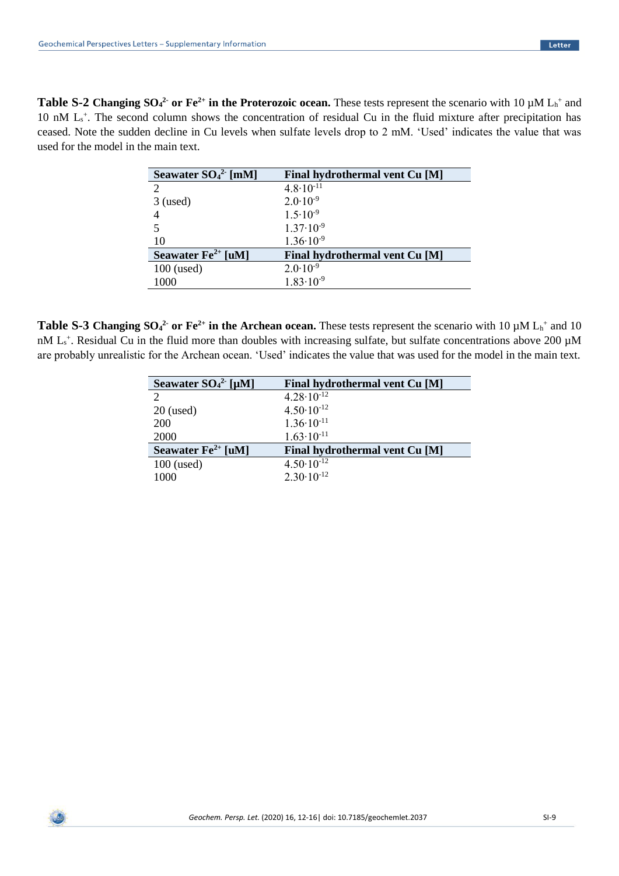**Table S-2 Changing**  $SO_4^2$  **or Fe<sup>2+</sup>** in the Proterozoic ocean. These tests represent the scenario with 10  $\mu$ M L<sub>h</sub><sup>+</sup> and 10 nM L<sub>s</sub><sup>+</sup>. The second column shows the concentration of residual Cu in the fluid mixture after precipitation has ceased. Note the sudden decline in Cu levels when sulfate levels drop to 2 mM. 'Used' indicates the value that was used for the model in the main text.

| Seawater $SO_4^2$ [mM]         | Final hydrothermal vent Cu [M] |
|--------------------------------|--------------------------------|
| $\overline{2}$                 | $4.8 \cdot 10^{-11}$           |
| $3$ (used)                     | $2.0 \cdot 10^{-9}$            |
|                                | $1.5 \cdot 10^{-9}$            |
|                                | $1.37 \cdot 10^{-9}$           |
| 10                             | $1.36 \cdot 10^{-9}$           |
| Seawater $\text{Fe}^{2+}$ [uM] | Final hydrothermal vent Cu [M] |
| $100$ (used)                   | $2.0 \cdot 10^{-9}$            |
| 1000                           | $1.83 \cdot 10^{-9}$           |

**Table S-3 Changing**  $SO_4^2$  **or Fe<sup>2+</sup>** in the Archean ocean. These tests represent the scenario with 10  $\mu$ M  $L_h^+$  and 10 nM  $L_s^*$ . Residual Cu in the fluid more than doubles with increasing sulfate, but sulfate concentrations above 200  $\mu$ M are probably unrealistic for the Archean ocean. 'Used' indicates the value that was used for the model in the main text.

| Seawater $SO_4^2$ [µM]           | <b>Final hydrothermal vent Cu [M]</b> |
|----------------------------------|---------------------------------------|
| $\mathcal{D}_{\mathcal{A}}$      | $4.28 \cdot 10^{-12}$                 |
| $20$ (used)                      | $4.50 \cdot 10^{-12}$                 |
| <b>200</b>                       | $1.36 \cdot 10^{-11}$                 |
| 2000                             | $1.63 \cdot 10^{-11}$                 |
| Seawater $\mathbf{Fe}^{2+}$ [uM] | Final hydrothermal vent Cu [M]        |
| $100$ (used)                     | $4.50 \cdot 10^{-12}$                 |
| 1000                             | $2.30 \cdot 10^{-12}$                 |